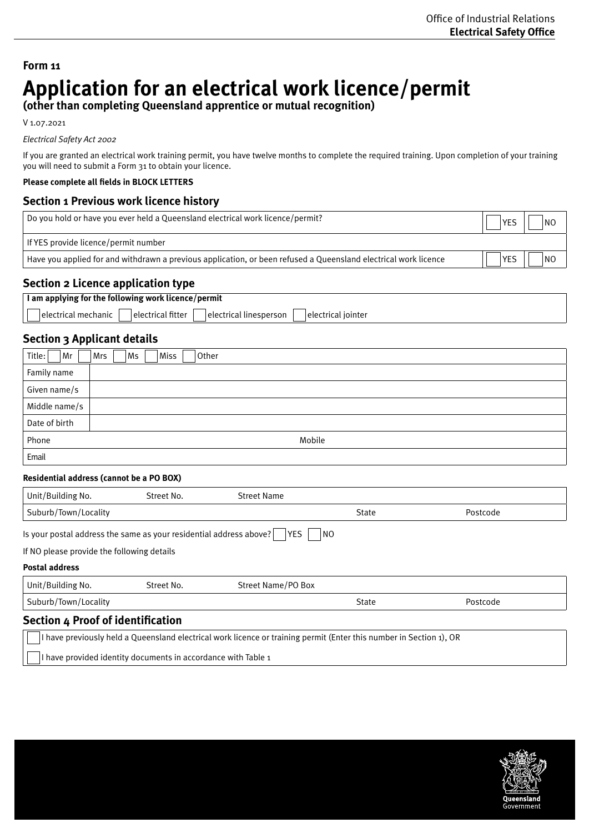# **Form 11 Application for an electrical work licence/permit**

**(other than completing Queensland apprentice or mutual recognition)**

V 1.07.2021

## *Electrical Safety Act 2002*

If you are granted an electrical work training permit, you have twelve months to complete the required training. Upon completion of your training you will need to submit a Form 31 to obtain your licence.

# **Please complete all fields in BLOCK LETTERS**

# **Section 1 Previous work licence history**

| Do you hold or have you ever held a Queensland electrical work licence/permit?                                  |            | NO |
|-----------------------------------------------------------------------------------------------------------------|------------|----|
| If YES provide licence/permit number                                                                            |            |    |
| Have you applied for and withdrawn a previous application, or been refused a Queensland electrical work licence | <b>YES</b> | NO |

# **Section 2 Licence application type**

| I am applying for the following work licence/permit                                         |  |  |  |
|---------------------------------------------------------------------------------------------|--|--|--|
| electrical fitter<br>lelectrical mechanic<br>Telectrical linesperson<br>∣electrical iointer |  |  |  |

# **Section 3 Applicant details**

| Title:<br>Mr  | Other<br>Miss<br>Ms<br>Mrs |
|---------------|----------------------------|
| Family name   |                            |
| Given name/s  |                            |
| Middle name/s |                            |
| Date of birth |                            |
| Phone         | Mobile                     |
| Email         |                            |

## **Residential address (cannot be a PO BOX)**

 $\perp$ 

| Unit/Building No.                                                                                                   | Street No.                                 | <b>Street Name</b> |       |          |  |
|---------------------------------------------------------------------------------------------------------------------|--------------------------------------------|--------------------|-------|----------|--|
| Suburb/Town/Locality                                                                                                |                                            |                    | State | Postcode |  |
| Is your postal address the same as your residential address above?<br>YES<br>INO.                                   |                                            |                    |       |          |  |
|                                                                                                                     | If NO please provide the following details |                    |       |          |  |
| <b>Postal address</b>                                                                                               |                                            |                    |       |          |  |
| Unit/Building No.                                                                                                   | Street No.                                 | Street Name/PO Box |       |          |  |
| Suburb/Town/Locality                                                                                                |                                            |                    | State | Postcode |  |
| <b>Section 4 Proof of identification</b>                                                                            |                                            |                    |       |          |  |
| I have previously held a Queensland electrical work licence or training permit (Enter this number in Section 1), OR |                                            |                    |       |          |  |
| I have provided identity documents in accordance with Table 1                                                       |                                            |                    |       |          |  |

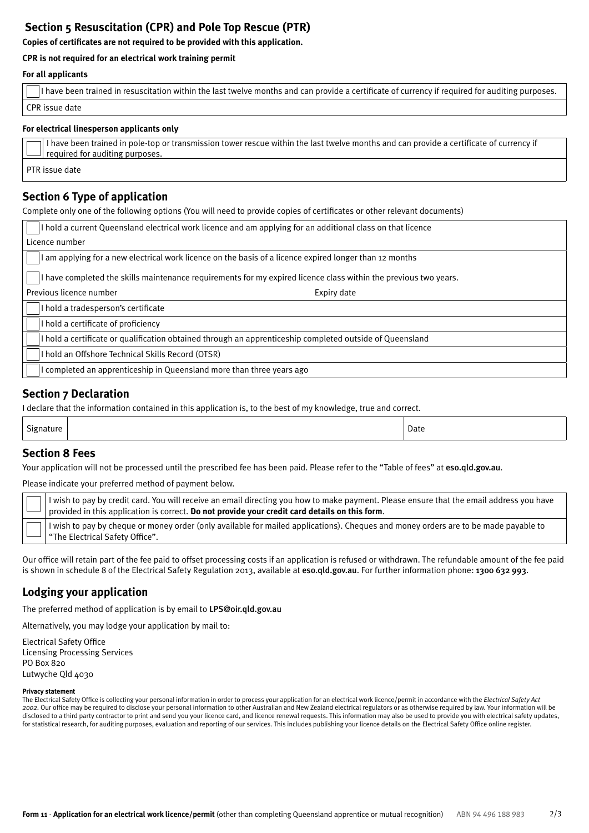# **Section 5 Resuscitation (CPR) and Pole Top Rescue (PTR)**

**Copies of certificates are not required to be provided with this application.** 

# **CPR is not required for an electrical work training permit**

## **For all applicants**

| If have been trained in resuscitation within the last twelve months and can provide a certificate of currency if required for auditing purposes. |
|--------------------------------------------------------------------------------------------------------------------------------------------------|
| CPR issue date                                                                                                                                   |

## **For electrical linesperson applicants only**

| $\Box$ I have been trained in pole-top or transmission tower rescue within the last twelve months and can provide a certificate of currency if<br>$\Box$ required for auditing purposes. |
|------------------------------------------------------------------------------------------------------------------------------------------------------------------------------------------|
| PTR issue date                                                                                                                                                                           |

# **Section 6 Type of application**

Complete only one of the following options (You will need to provide copies of certificates or other relevant documents)

| I hold a current Queensland electrical work licence and am applying for an additional class on that licence      |  |  |
|------------------------------------------------------------------------------------------------------------------|--|--|
| Licence number                                                                                                   |  |  |
| I am applying for a new electrical work licence on the basis of a licence expired longer than 12 months          |  |  |
| I have completed the skills maintenance requirements for my expired licence class within the previous two years. |  |  |
| Previous licence number<br>Expiry date                                                                           |  |  |
| I hold a tradesperson's certificate                                                                              |  |  |
| I hold a certificate of proficiency                                                                              |  |  |
| I hold a certificate or qualification obtained through an apprenticeship completed outside of Queensland         |  |  |
| I hold an Offshore Technical Skills Record (OTSR)                                                                |  |  |
| I completed an apprenticeship in Queensland more than three years ago                                            |  |  |

# **Section 7 Declaration**

I declare that the information contained in this application is, to the best of my knowledge, true and correct.

| Sion.<br>аште | Date |
|---------------|------|
|               |      |

# **Section 8 Fees**

Your application will not be processed until the prescribed fee has been paid. Please refer to the "Table of fees" at [eso.qld.gov.au](http://eso.qld.gov.au).

Please indicate your preferred method of payment below.

I wish to pay by credit card. You will receive an email directing you how to make payment. Please ensure that the email address you have provided in this application is correct. **Do not provide your credit card details on this form**. I wish to pay by cheque or money order (only available for mailed applications). Cheques and money orders are to be made payable to "The Electrical Safety Office".

Our office will retain part of the fee paid to offset processing costs if an application is refused or withdrawn. The refundable amount of the fee paid is shown in schedule 8 of the Electrical Safety Regulation 2013, available at [eso.qld.gov.au](http://eso.qld.gov.au). For further information phone: 1300 632 993.

# **Lodging your application**

The preferred method of application is by email to LPS@oir.qld.gov.au

Alternatively, you may lodge your application by mail to:

Electrical Safety Office Licensing Processing Services PO Box 820 Lutwyche Qld 4030

#### **Privacy statement**

The Electrical Safety Office is collecting your personal information in order to process your application for an electrical work licence/permit in accordance with the *Electrical Safety Act 2002*. Our office may be required to disclose your personal information to other Australian and New Zealand electrical regulators or as otherwise required by law. Your information will be disclosed to a third party contractor to print and send you your licence card, and licence renewal requests. This information may also be used to provide you with electrical safety updates, for statistical research, for auditing purposes, evaluation and reporting of our services. This includes publishing your licence details on the Electrical Safety Office online register.